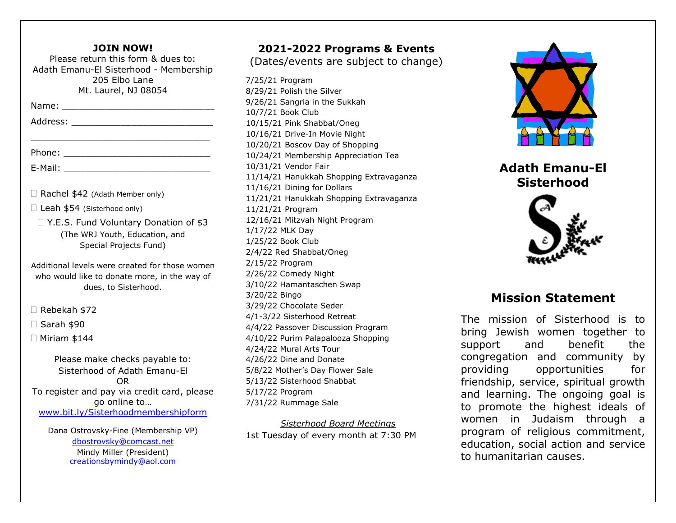#### **JOIN NOW!**

Please return this form & dues to: Adath Emanu-El Sisterhood - Membership 205 Elbo Lane Mt. Laurel, NJ 08054

\_\_\_\_\_\_\_\_\_\_\_\_\_\_\_\_\_\_\_\_\_\_\_\_\_\_\_\_\_\_\_\_\_

Name: \_\_\_\_\_\_\_\_\_\_\_\_\_\_\_\_\_\_\_\_\_\_\_\_\_\_\_\_

| Address: |  |  |  |  |
|----------|--|--|--|--|
|          |  |  |  |  |

Phone: \_\_\_\_\_\_\_\_\_\_\_\_\_\_\_\_\_\_\_\_\_\_\_\_\_\_\_

E-Mail: \_\_\_\_\_\_\_\_\_\_\_\_\_\_\_\_\_\_\_\_\_\_\_\_\_\_\_

 $\Box$  Rachel \$42 (Adath Member only)

□ Leah \$54 (Sisterhood only)

□ Y.E.S. Fund Voluntary Donation of \$3 (The WRJ Youth, Education, and Special Projects Fund)

Additional levels were created for those women who would like to donate more, in the way of dues, to Sisterhood.

□ Rebekah \$72

 $\Box$  Sarah \$90

 $\Box$  Miriam \$144

Please make checks payable to: Sisterhood of Adath Emanu-El OR To register and pay via credit card, please go online to… www.bit.ly/Sisterhoodmembershipform

Dana Ostrovsky-Fine (Membership VP) dbostrovsky@comcast.net Mindy Miller (President) creationsbymindy@aol.com

## **2021-2022 Programs & Events**

(Dates/events are subject to change)

7/25/21 Program 8/29/21 Polish the Silver 9/26/21 Sangria in the Sukkah 10/7/21 Book Club 10/15/21 Pink Shabbat/Oneg 10/16/21 Drive-In Movie Night 10/20/21 Boscov Day of Shopping 10/24/21 Membership Appreciation Tea 10/31/21 Vendor Fair 11/14/21 Hanukkah Shopping Extravaganza 11/16/21 Dining for Dollars 11/21/21 Hanukkah Shopping Extravaganza 11/21/21 Program 12/16/21 Mitzvah Night Program 1/17/22 MLK Day 1/25/22 Book Club 2/4/22 Red Shabbat/Oneg 2/15/22 Program 2/26/22 Comedy Night 3/10/22 Hamantaschen Swap 3/20/22 Bingo 3/29/22 Chocolate Seder 4/1-3/22 Sisterhood Retreat 4/4/22 Passover Discussion Program 4/10/22 Purim Palapalooza Shopping 4/24/22 Mural Arts Tour 4/26/22 Dine and Donate 5/8/22 Mother's Day Flower Sale 5/13/22 Sisterhood Shabbat 5/17/22 Program 7/31/22 Rummage Sale

*Sisterhood Board Meetings* 1st Tuesday of every month at 7:30 PM



**Adath Emanu-El Sisterhood**



## **Mission Statement**

The mission of Sisterhood is to bring Jewish women together to support and benefit the congregation and community by providing opportunities for friendship, service, spiritual growth and learning. The ongoing goal is to promote the highest ideals of women in Judaism through a program of religious commitment, education, social action and service to humanitarian causes.